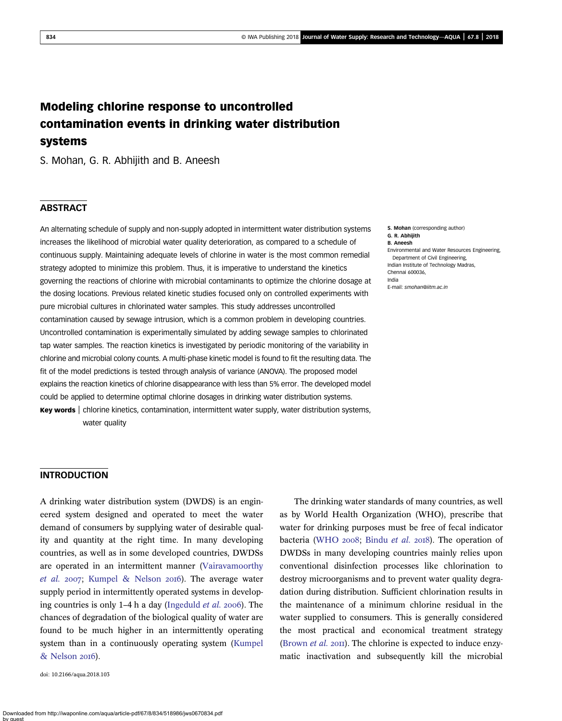# Modeling chlorine response to uncontrolled contamination events in drinking water distribution systems

S. Mohan, G. R. Abhijith and B. Aneesh

# **ABSTRACT**

An alternating schedule of supply and non-supply adopted in intermittent water distribution systems increases the likelihood of microbial water quality deterioration, as compared to a schedule of continuous supply. Maintaining adequate levels of chlorine in water is the most common remedial strategy adopted to minimize this problem. Thus, it is imperative to understand the kinetics governing the reactions of chlorine with microbial contaminants to optimize the chlorine dosage at the dosing locations. Previous related kinetic studies focused only on controlled experiments with pure microbial cultures in chlorinated water samples. This study addresses uncontrolled contamination caused by sewage intrusion, which is a common problem in developing countries. Uncontrolled contamination is experimentally simulated by adding sewage samples to chlorinated tap water samples. The reaction kinetics is investigated by periodic monitoring of the variability in chlorine and microbial colony counts. A multi-phase kinetic model is found to fit the resulting data. The fit of the model predictions is tested through analysis of variance (ANOVA). The proposed model explains the reaction kinetics of chlorine disappearance with less than 5% error. The developed model could be applied to determine optimal chlorine dosages in drinking water distribution systems. Key words | chlorine kinetics, contamination, intermittent water supply, water distribution systems,

water quality

S. Mohan (corresponding author) G. R. Abhijith B. Aneesh Environmental and Water Resources Engineering, Department of Civil Engineering, Indian Institute of Technology Madras, Chennai 600036, India E-mail: smohan@iitm.ac.in

#### INTRODUCTION

A drinking water distribution system (DWDS) is an engineered system designed and operated to meet the water demand of consumers by supplying water of desirable quality and quantity at the right time. In many developing countries, as well as in some developed countries, DWDSs are operated in an intermittent manner (Vairavamoorthy *et al.* 2007; Kumpel & Nelson 2016). The average water supply period in intermittently operated systems in developing countries is only 1–4 h a day (Ingeduld *et al.* 2006). The chances of degradation of the biological quality of water are found to be much higher in an intermittently operating system than in a continuously operating system (Kumpel & Nelson 2016).

doi: 10.2166/aqua.2018.103

The drinking water standards of many countries, as well as by World Health Organization (WHO), prescribe that water for drinking purposes must be free of fecal indicator bacteria (WHO 2008; Bindu *et al.* 2018). The operation of DWDSs in many developing countries mainly relies upon conventional disinfection processes like chlorination to destroy microorganisms and to prevent water quality degradation during distribution. Sufficient chlorination results in the maintenance of a minimum chlorine residual in the water supplied to consumers. This is generally considered the most practical and economical treatment strategy (Brown *et al.* 2011). The chlorine is expected to induce enzymatic inactivation and subsequently kill the microbial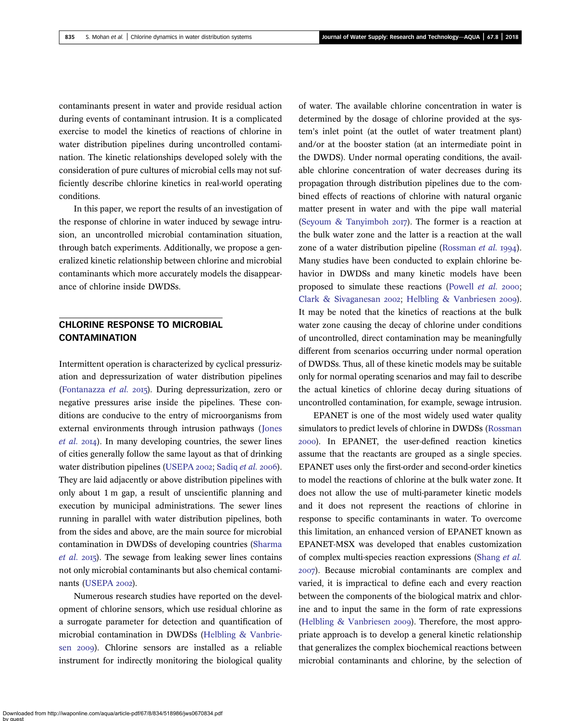contaminants present in water and provide residual action during events of contaminant intrusion. It is a complicated exercise to model the kinetics of reactions of chlorine in water distribution pipelines during uncontrolled contamination. The kinetic relationships developed solely with the consideration of pure cultures of microbial cells may not sufficiently describe chlorine kinetics in real-world operating conditions.

In this paper, we report the results of an investigation of the response of chlorine in water induced by sewage intrusion, an uncontrolled microbial contamination situation, through batch experiments. Additionally, we propose a generalized kinetic relationship between chlorine and microbial contaminants which more accurately models the disappearance of chlorine inside DWDSs.

# CHLORINE RESPONSE TO MICROBIAL **CONTAMINATION**

Intermittent operation is characterized by cyclical pressurization and depressurization of water distribution pipelines (Fontanazza *et al.* 2015). During depressurization, zero or negative pressures arise inside the pipelines. These conditions are conducive to the entry of microorganisms from external environments through intrusion pathways (Jones *et al.* 2014). In many developing countries, the sewer lines of cities generally follow the same layout as that of drinking water distribution pipelines (USEPA 2002; Sadiq *et al.* 2006). They are laid adjacently or above distribution pipelines with only about 1 m gap, a result of unscientific planning and execution by municipal administrations. The sewer lines running in parallel with water distribution pipelines, both from the sides and above, are the main source for microbial contamination in DWDSs of developing countries (Sharma *et al.* 2015). The sewage from leaking sewer lines contains not only microbial contaminants but also chemical contaminants (USEPA 2002).

Numerous research studies have reported on the development of chlorine sensors, which use residual chlorine as a surrogate parameter for detection and quantification of microbial contamination in DWDSs (Helbling & Vanbriesen 2009). Chlorine sensors are installed as a reliable instrument for indirectly monitoring the biological quality

of water. The available chlorine concentration in water is determined by the dosage of chlorine provided at the system's inlet point (at the outlet of water treatment plant) and/or at the booster station (at an intermediate point in the DWDS). Under normal operating conditions, the available chlorine concentration of water decreases during its propagation through distribution pipelines due to the combined effects of reactions of chlorine with natural organic matter present in water and with the pipe wall material (Seyoum  $\&$  Tanyimboh 2017). The former is a reaction at the bulk water zone and the latter is a reaction at the wall zone of a water distribution pipeline (Rossman *et al.* 1994). Many studies have been conducted to explain chlorine behavior in DWDSs and many kinetic models have been proposed to simulate these reactions (Powell *et al.* 2000; Clark & Sivaganesan 2002; Helbling & Vanbriesen 2009). It may be noted that the kinetics of reactions at the bulk water zone causing the decay of chlorine under conditions of uncontrolled, direct contamination may be meaningfully different from scenarios occurring under normal operation of DWDSs. Thus, all of these kinetic models may be suitable only for normal operating scenarios and may fail to describe the actual kinetics of chlorine decay during situations of uncontrolled contamination, for example, sewage intrusion.

EPANET is one of the most widely used water quality simulators to predict levels of chlorine in DWDSs (Rossman ). In EPANET, the user-defined reaction kinetics assume that the reactants are grouped as a single species. EPANET uses only the first-order and second-order kinetics to model the reactions of chlorine at the bulk water zone. It does not allow the use of multi-parameter kinetic models and it does not represent the reactions of chlorine in response to specific contaminants in water. To overcome this limitation, an enhanced version of EPANET known as EPANET-MSX was developed that enables customization of complex multi-species reaction expressions (Shang *et al.* ). Because microbial contaminants are complex and varied, it is impractical to define each and every reaction between the components of the biological matrix and chlorine and to input the same in the form of rate expressions (Helbling  $&$  Vanbriesen 2009). Therefore, the most appropriate approach is to develop a general kinetic relationship that generalizes the complex biochemical reactions between microbial contaminants and chlorine, by the selection of

Downloaded from http://iwaponline.com/aqua/article-pdf/67/8/834/518986/jws0670834.pdf by guest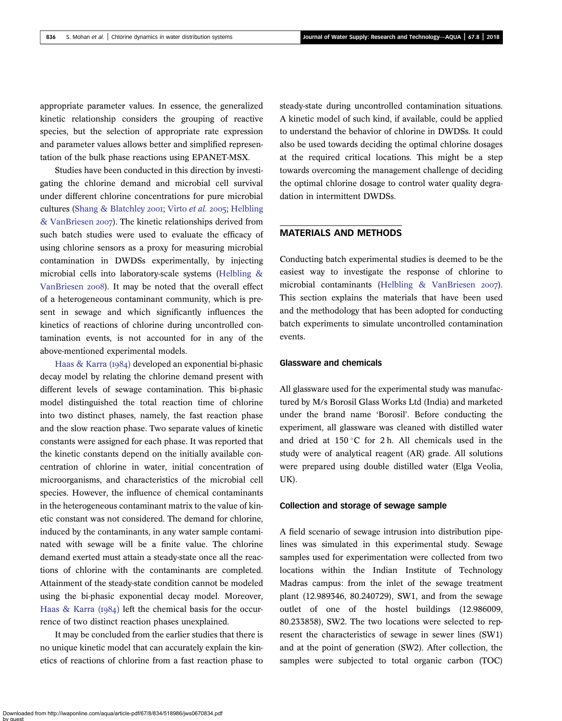appropriate parameter values. In essence, the generalized kinetic relationship considers the grouping of reactive species, but the selection of appropriate rate expression and parameter values allows better and simplified representation of the bulk phase reactions using EPANET-MSX.

Studies have been conducted in this direction by investigating the chlorine demand and microbial cell survival under different chlorine concentrations for pure microbial cultures (Shang & Blatchley 2001; Virto *et al.* 2005; Helbling & VanBriesen 2007). The kinetic relationships derived from such batch studies were used to evaluate the efficacy of using chlorine sensors as a proxy for measuring microbial contamination in DWDSs experimentally, by injecting microbial cells into laboratory-scale systems (Helbling & VanBriesen 2008). It may be noted that the overall effect of a heterogeneous contaminant community, which is present in sewage and which significantly influences the kinetics of reactions of chlorine during uncontrolled contamination events, is not accounted for in any of the above-mentioned experimental models.

Haas  $& Karra \, (1984)$  developed an exponential bi-phasic decay model by relating the chlorine demand present with different levels of sewage contamination. This bi-phasic model distinguished the total reaction time of chlorine into two distinct phases, namely, the fast reaction phase and the slow reaction phase. Two separate values of kinetic constants were assigned for each phase. It was reported that the kinetic constants depend on the initially available concentration of chlorine in water, initial concentration of microorganisms, and characteristics of the microbial cell species. However, the influence of chemical contaminants in the heterogeneous contaminant matrix to the value of kinetic constant was not considered. The demand for chlorine, induced by the contaminants, in any water sample contaminated with sewage will be a finite value. The chlorine demand exerted must attain a steady-state once all the reactions of chlorine with the contaminants are completed. Attainment of the steady-state condition cannot be modeled using the bi-phasic exponential decay model. Moreover, Haas & Karra  $(1984)$  left the chemical basis for the occurrence of two distinct reaction phases unexplained.

It may be concluded from the earlier studies that there is no unique kinetic model that can accurately explain the kinetics of reactions of chlorine from a fast reaction phase to steady-state during uncontrolled contamination situations. A kinetic model of such kind, if available, could be applied to understand the behavior of chlorine in DWDSs. It could also be used towards deciding the optimal chlorine dosages at the required critical locations. This might be a step towards overcoming the management challenge of deciding the optimal chlorine dosage to control water quality degradation in intermittent DWDSs.

## MATERIALS AND METHODS

Conducting batch experimental studies is deemed to be the easiest way to investigate the response of chlorine to microbial contaminants (Helbling & VanBriesen 2007). This section explains the materials that have been used and the methodology that has been adopted for conducting batch experiments to simulate uncontrolled contamination events.

#### Glassware and chemicals

All glassware used for the experimental study was manufactured by M/s Borosil Glass Works Ltd (India) and marketed under the brand name 'Borosil'. Before conducting the experiment, all glassware was cleaned with distilled water and dried at  $150\degree$ C for 2 h. All chemicals used in the study were of analytical reagent (AR) grade. All solutions were prepared using double distilled water (Elga Veolia, UK).

#### Collection and storage of sewage sample

A field scenario of sewage intrusion into distribution pipelines was simulated in this experimental study. Sewage samples used for experimentation were collected from two locations within the Indian Institute of Technology Madras campus: from the inlet of the sewage treatment plant (12.989346, 80.240729), SW1, and from the sewage outlet of one of the hostel buildings (12.986009, 80.233858), SW2. The two locations were selected to represent the characteristics of sewage in sewer lines (SW1) and at the point of generation (SW2). After collection, the samples were subjected to total organic carbon (TOC)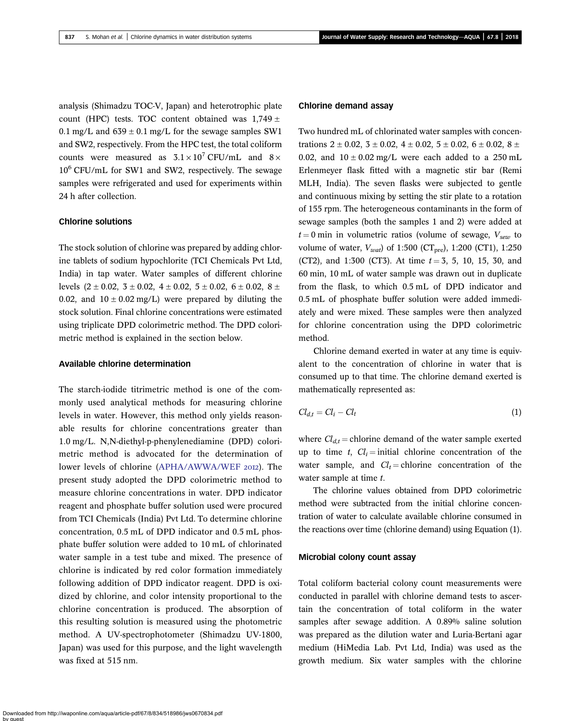analysis (Shimadzu TOC-V, Japan) and heterotrophic plate count (HPC) tests. TOC content obtained was  $1,749 \pm 1$ 0.1 mg/L and  $639 \pm 0.1$  mg/L for the sewage samples SW1 and SW2, respectively. From the HPC test, the total coliform counts were measured as  $3.1 \times 10^7$  CFU/mL and  $8 \times$  $10^6$  CFU/mL for SW1 and SW2, respectively. The sewage samples were refrigerated and used for experiments within 24 h after collection.

#### Chlorine solutions

The stock solution of chlorine was prepared by adding chlorine tablets of sodium hypochlorite (TCI Chemicals Pvt Ltd, India) in tap water. Water samples of different chlorine levels  $(2 \pm 0.02, 3 \pm 0.02, 4 \pm 0.02, 5 \pm 0.02, 6 \pm 0.02, 8 \pm 0.02)$ 0.02, and  $10 \pm 0.02$  mg/L) were prepared by diluting the stock solution. Final chlorine concentrations were estimated using triplicate DPD colorimetric method. The DPD colorimetric method is explained in the section below.

#### Available chlorine determination

The starch-iodide titrimetric method is one of the commonly used analytical methods for measuring chlorine levels in water. However, this method only yields reasonable results for chlorine concentrations greater than 1.0 mg/L. N,N-diethyl-p-phenylenediamine (DPD) colorimetric method is advocated for the determination of lower levels of chlorine (APHA/AWWA/WEF 2012). The present study adopted the DPD colorimetric method to measure chlorine concentrations in water. DPD indicator reagent and phosphate buffer solution used were procured from TCI Chemicals (India) Pvt Ltd. To determine chlorine concentration, 0.5 mL of DPD indicator and 0.5 mL phosphate buffer solution were added to 10 mL of chlorinated water sample in a test tube and mixed. The presence of chlorine is indicated by red color formation immediately following addition of DPD indicator reagent. DPD is oxidized by chlorine, and color intensity proportional to the chlorine concentration is produced. The absorption of this resulting solution is measured using the photometric method. A UV-spectrophotometer (Shimadzu UV-1800, Japan) was used for this purpose, and the light wavelength was fixed at 515 nm.

#### Chlorine demand assay

Two hundred mL of chlorinated water samples with concentrations  $2 \pm 0.02$ ,  $3 \pm 0.02$ ,  $4 \pm 0.02$ ,  $5 \pm 0.02$ ,  $6 \pm 0.02$ ,  $8 \pm 0.02$ 0.02, and  $10 \pm 0.02$  mg/L were each added to a 250 mL Erlenmeyer flask fitted with a magnetic stir bar (Remi MLH, India). The seven flasks were subjected to gentle and continuous mixing by setting the stir plate to a rotation of 155 rpm. The heterogeneous contaminants in the form of sewage samples (both the samples 1 and 2) were added at  $t = 0$  min in volumetric ratios (volume of sewage,  $V_{\text{seav}}$  to volume of water,  $V_{wait}$  of 1:500 (CT<sub>pre</sub>), 1:200 (CT1), 1:250 (CT2), and 1:300 (CT3). At time  $t = 3, 5, 10, 15, 30,$  and 60 min, 10 mL of water sample was drawn out in duplicate from the flask, to which 0.5 mL of DPD indicator and 0.5 mL of phosphate buffer solution were added immediately and were mixed. These samples were then analyzed for chlorine concentration using the DPD colorimetric method.

Chlorine demand exerted in water at any time is equivalent to the concentration of chlorine in water that is consumed up to that time. The chlorine demand exerted is mathematically represented as:

$$
Cl_{d,t} = Cl_i - Cl_t \tag{1}
$$

where  $Cl_{d,t}$  = chlorine demand of the water sample exerted up to time  $t$ ,  $Cl_i =$  initial chlorine concentration of the water sample, and  $Cl_t =$ chlorine concentration of the water sample at time *t*.

The chlorine values obtained from DPD colorimetric method were subtracted from the initial chlorine concentration of water to calculate available chlorine consumed in the reactions over time (chlorine demand) using Equation (1).

#### Microbial colony count assay

Total coliform bacterial colony count measurements were conducted in parallel with chlorine demand tests to ascertain the concentration of total coliform in the water samples after sewage addition. A 0.89% saline solution was prepared as the dilution water and Luria-Bertani agar medium (HiMedia Lab. Pvt Ltd, India) was used as the growth medium. Six water samples with the chlorine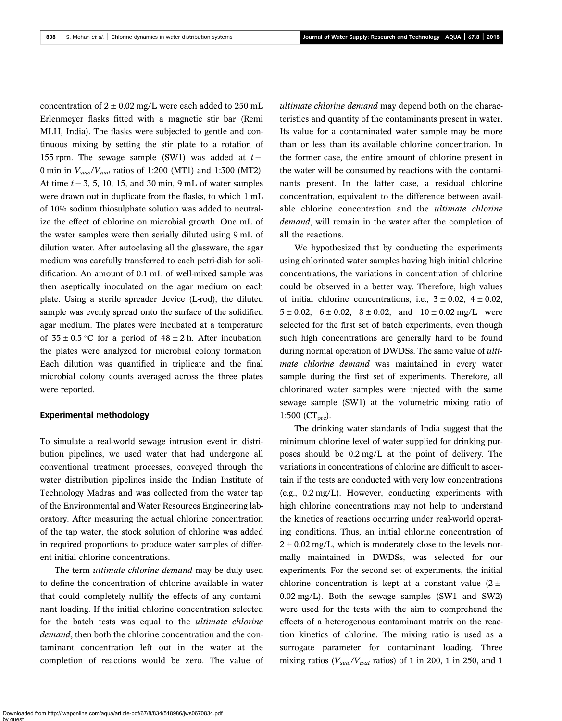concentration of  $2 \pm 0.02$  mg/L were each added to 250 mL Erlenmeyer flasks fitted with a magnetic stir bar (Remi MLH, India). The flasks were subjected to gentle and continuous mixing by setting the stir plate to a rotation of 155 rpm. The sewage sample (SW1) was added at  $t =$ 0 min in *Vsew*/*Vwat* ratios of 1:200 (MT1) and 1:300 (MT2). At time  $t = 3, 5, 10, 15,$  and 30 min, 9 mL of water samples were drawn out in duplicate from the flasks, to which 1 mL of 10% sodium thiosulphate solution was added to neutralize the effect of chlorine on microbial growth. One mL of the water samples were then serially diluted using 9 mL of dilution water. After autoclaving all the glassware, the agar medium was carefully transferred to each petri-dish for solidification. An amount of 0.1 mL of well-mixed sample was then aseptically inoculated on the agar medium on each plate. Using a sterile spreader device (L-rod), the diluted sample was evenly spread onto the surface of the solidified agar medium. The plates were incubated at a temperature of  $35 \pm 0.5$  °C for a period of  $48 \pm 2$  h. After incubation, the plates were analyzed for microbial colony formation. Each dilution was quantified in triplicate and the final microbial colony counts averaged across the three plates were reported.

#### Experimental methodology

To simulate a real-world sewage intrusion event in distribution pipelines, we used water that had undergone all conventional treatment processes, conveyed through the water distribution pipelines inside the Indian Institute of Technology Madras and was collected from the water tap of the Environmental and Water Resources Engineering laboratory. After measuring the actual chlorine concentration of the tap water, the stock solution of chlorine was added in required proportions to produce water samples of different initial chlorine concentrations.

The term *ultimate chlorine demand* may be duly used to define the concentration of chlorine available in water that could completely nullify the effects of any contaminant loading. If the initial chlorine concentration selected for the batch tests was equal to the *ultimate chlorine demand*, then both the chlorine concentration and the contaminant concentration left out in the water at the completion of reactions would be zero. The value of *ultimate chlorine demand* may depend both on the characteristics and quantity of the contaminants present in water. Its value for a contaminated water sample may be more than or less than its available chlorine concentration. In the former case, the entire amount of chlorine present in the water will be consumed by reactions with the contaminants present. In the latter case, a residual chlorine concentration, equivalent to the difference between available chlorine concentration and the *ultimate chlorine demand*, will remain in the water after the completion of all the reactions.

We hypothesized that by conducting the experiments using chlorinated water samples having high initial chlorine concentrations, the variations in concentration of chlorine could be observed in a better way. Therefore, high values of initial chlorine concentrations, i.e.,  $3 \pm 0.02$ ,  $4 \pm 0.02$ ,  $5 \pm 0.02$ ,  $6 \pm 0.02$ ,  $8 \pm 0.02$ , and  $10 \pm 0.02$  mg/L were selected for the first set of batch experiments, even though such high concentrations are generally hard to be found during normal operation of DWDSs. The same value of *ultimate chlorine demand* was maintained in every water sample during the first set of experiments. Therefore, all chlorinated water samples were injected with the same sewage sample (SW1) at the volumetric mixing ratio of 1:500  $(CT_{pre})$ .

The drinking water standards of India suggest that the minimum chlorine level of water supplied for drinking purposes should be 0.2 mg/L at the point of delivery. The variations in concentrations of chlorine are difficult to ascertain if the tests are conducted with very low concentrations (e.g., 0.2 mg/L). However, conducting experiments with high chlorine concentrations may not help to understand the kinetics of reactions occurring under real-world operating conditions. Thus, an initial chlorine concentration of  $2 \pm 0.02$  mg/L, which is moderately close to the levels normally maintained in DWDSs, was selected for our experiments. For the second set of experiments, the initial chlorine concentration is kept at a constant value  $(2 \pm$ 0.02 mg/L). Both the sewage samples (SW1 and SW2) were used for the tests with the aim to comprehend the effects of a heterogenous contaminant matrix on the reaction kinetics of chlorine. The mixing ratio is used as a surrogate parameter for contaminant loading. Three mixing ratios (*Vsew/Vwat* ratios) of 1 in 200, 1 in 250, and 1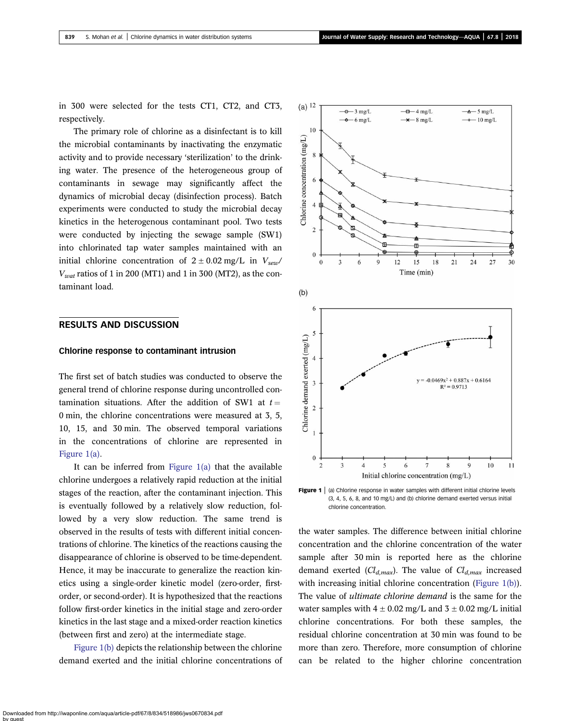in 300 were selected for the tests CT1, CT2, and CT3, respectively.

The primary role of chlorine as a disinfectant is to kill the microbial contaminants by inactivating the enzymatic activity and to provide necessary 'sterilization' to the drinking water. The presence of the heterogeneous group of contaminants in sewage may significantly affect the dynamics of microbial decay (disinfection process). Batch experiments were conducted to study the microbial decay kinetics in the heterogenous contaminant pool. Two tests were conducted by injecting the sewage sample (SW1) into chlorinated tap water samples maintained with an initial chlorine concentration of  $2 \pm 0.02$  mg/L in  $V_{\text{sew}}$ /  $V<sub>wat</sub>$  ratios of 1 in 200 (MT1) and 1 in 300 (MT2), as the contaminant load.

### RESULTS AND DISCUSSION

#### Chlorine response to contaminant intrusion

The first set of batch studies was conducted to observe the general trend of chlorine response during uncontrolled contamination situations. After the addition of SW1 at  $t =$ 0 min, the chlorine concentrations were measured at 3, 5, 10, 15, and 30 min. The observed temporal variations in the concentrations of chlorine are represented in Figure 1(a).

It can be inferred from Figure  $1(a)$  that the available chlorine undergoes a relatively rapid reduction at the initial stages of the reaction, after the contaminant injection. This is eventually followed by a relatively slow reduction, followed by a very slow reduction. The same trend is observed in the results of tests with different initial concentrations of chlorine. The kinetics of the reactions causing the disappearance of chlorine is observed to be time-dependent. Hence, it may be inaccurate to generalize the reaction kinetics using a single-order kinetic model (zero-order, firstorder, or second-order). It is hypothesized that the reactions follow first-order kinetics in the initial stage and zero-order kinetics in the last stage and a mixed-order reaction kinetics (between first and zero) at the intermediate stage.

Figure 1(b) depicts the relationship between the chlorine demand exerted and the initial chlorine concentrations of



**Figure 1**  $|$  (a) Chlorine response in water samples with different initial chlorine levels (3, 4, 5, 6, 8, and 10 mg/L) and (b) chlorine demand exerted versus initial chlorine concentration.

the water samples. The difference between initial chlorine concentration and the chlorine concentration of the water sample after 30 min is reported here as the chlorine demand exerted (*Cld,max*). The value of *Cld,max* increased with increasing initial chlorine concentration (Figure 1(b)). The value of *ultimate chlorine demand* is the same for the water samples with  $4 \pm 0.02$  mg/L and  $3 \pm 0.02$  mg/L initial chlorine concentrations. For both these samples, the residual chlorine concentration at 30 min was found to be more than zero. Therefore, more consumption of chlorine can be related to the higher chlorine concentration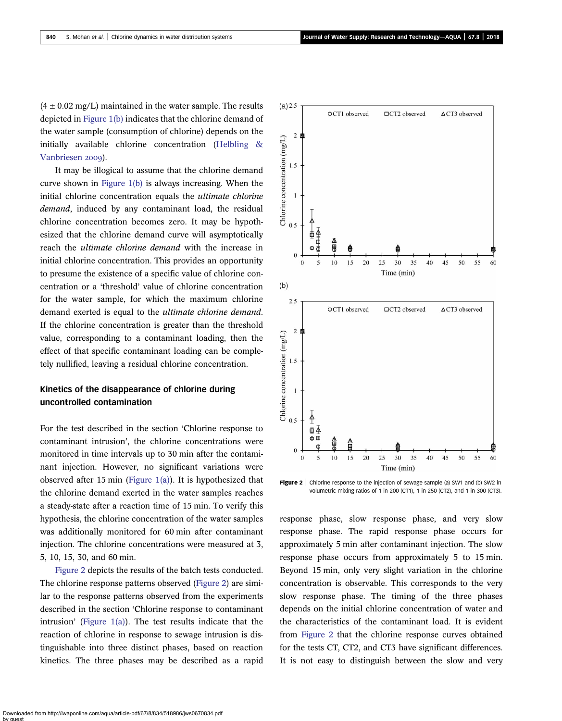$(4 \pm 0.02 \text{ mg/L})$  maintained in the water sample. The results depicted in Figure 1(b) indicates that the chlorine demand of the water sample (consumption of chlorine) depends on the initially available chlorine concentration (Helbling & Vanbriesen 2009).

It may be illogical to assume that the chlorine demand curve shown in Figure 1(b) is always increasing. When the initial chlorine concentration equals the *ultimate chlorine demand*, induced by any contaminant load, the residual chlorine concentration becomes zero. It may be hypothesized that the chlorine demand curve will asymptotically reach the *ultimate chlorine demand* with the increase in initial chlorine concentration. This provides an opportunity to presume the existence of a specific value of chlorine concentration or a 'threshold' value of chlorine concentration for the water sample, for which the maximum chlorine demand exerted is equal to the *ultimate chlorine demand*. If the chlorine concentration is greater than the threshold value, corresponding to a contaminant loading, then the effect of that specific contaminant loading can be completely nullified, leaving a residual chlorine concentration.

# Kinetics of the disappearance of chlorine during uncontrolled contamination

For the test described in the section 'Chlorine response to contaminant intrusion', the chlorine concentrations were monitored in time intervals up to 30 min after the contaminant injection. However, no significant variations were observed after 15 min (Figure  $1(a)$ ). It is hypothesized that the chlorine demand exerted in the water samples reaches a steady-state after a reaction time of 15 min. To verify this hypothesis, the chlorine concentration of the water samples was additionally monitored for 60 min after contaminant injection. The chlorine concentrations were measured at 3, 5, 10, 15, 30, and 60 min.

Figure 2 depicts the results of the batch tests conducted. The chlorine response patterns observed (Figure 2) are similar to the response patterns observed from the experiments described in the section 'Chlorine response to contaminant intrusion' (Figure  $1(a)$ ). The test results indicate that the reaction of chlorine in response to sewage intrusion is distinguishable into three distinct phases, based on reaction kinetics. The three phases may be described as a rapid



Figure 2 | Chlorine response to the injection of sewage sample (a) SW1 and (b) SW2 in volumetric mixing ratios of 1 in 200 (CT1), 1 in 250 (CT2), and 1 in 300 (CT3).

response phase, slow response phase, and very slow response phase. The rapid response phase occurs for approximately 5 min after contaminant injection. The slow response phase occurs from approximately 5 to 15 min. Beyond 15 min, only very slight variation in the chlorine concentration is observable. This corresponds to the very slow response phase. The timing of the three phases depends on the initial chlorine concentration of water and the characteristics of the contaminant load. It is evident from Figure 2 that the chlorine response curves obtained for the tests CT, CT2, and CT3 have significant differences. It is not easy to distinguish between the slow and very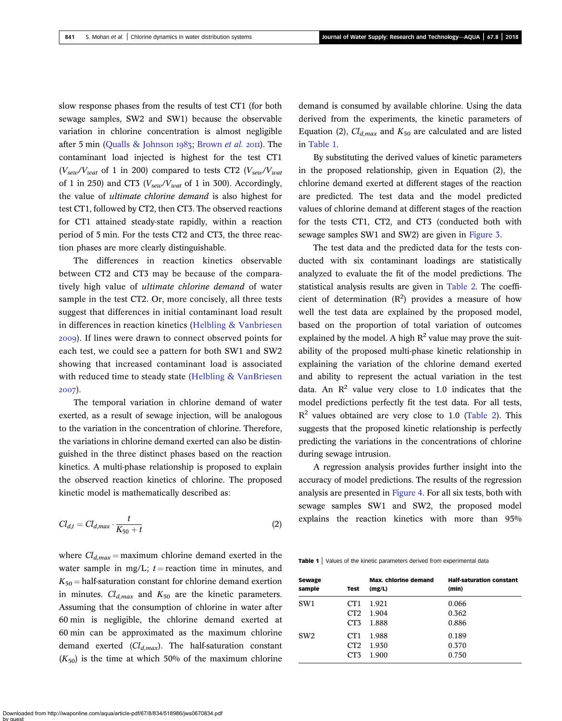slow response phases from the results of test CT1 (for both sewage samples, SW2 and SW1) because the observable variation in chlorine concentration is almost negligible after 5 min (Qualls & Johnson 1983; Brown *et al.* 2011). The contaminant load injected is highest for the test CT1  $(V_{\textit{sew}}/V_{\textit{wat}})$  of 1 in 200) compared to tests CT2  $(V_{\textit{sew}}/V_{\textit{wat}})$ of 1 in 250) and CT3 (*Vsew/Vwat* of 1 in 300). Accordingly, the value of *ultimate chlorine demand* is also highest for test CT1, followed by CT2, then CT3. The observed reactions for CT1 attained steady-state rapidly, within a reaction period of 5 min. For the tests CT2 and CT3, the three reaction phases are more clearly distinguishable.

The differences in reaction kinetics observable between CT2 and CT3 may be because of the comparatively high value of *ultimate chlorine demand* of water sample in the test CT2. Or, more concisely, all three tests suggest that differences in initial contaminant load result in differences in reaction kinetics (Helbling & Vanbriesen ). If lines were drawn to connect observed points for each test, we could see a pattern for both SW1 and SW2 showing that increased contaminant load is associated with reduced time to steady state (Helbling & VanBriesen 2007).

The temporal variation in chlorine demand of water exerted, as a result of sewage injection, will be analogous to the variation in the concentration of chlorine. Therefore, the variations in chlorine demand exerted can also be distinguished in the three distinct phases based on the reaction kinetics. A multi-phase relationship is proposed to explain the observed reaction kinetics of chlorine. The proposed kinetic model is mathematically described as:

$$
Cl_{d,t} = Cl_{d,max} \cdot \frac{t}{K_{50} + t} \tag{2}
$$

where  $Cl_{d,max}$  = maximum chlorine demand exerted in the water sample in mg/L;  $t =$  reaction time in minutes, and  $K_{50}$  = half-saturation constant for chlorine demand exertion in minutes.  $Cl_{d,max}$  and  $K_{50}$  are the kinetic parameters. Assuming that the consumption of chlorine in water after 60 min is negligible, the chlorine demand exerted at 60 min can be approximated as the maximum chlorine demand exerted (*Cld,max*). The half-saturation constant  $(K_{50})$  is the time at which 50% of the maximum chlorine demand is consumed by available chlorine. Using the data derived from the experiments, the kinetic parameters of Equation (2),  $Cl_{d,max}$  and  $K_{50}$  are calculated and are listed in Table 1.

By substituting the derived values of kinetic parameters in the proposed relationship, given in Equation (2), the chlorine demand exerted at different stages of the reaction are predicted. The test data and the model predicted values of chlorine demand at different stages of the reaction for the tests CT1, CT2, and CT3 (conducted both with sewage samples SW1 and SW2) are given in Figure 3.

The test data and the predicted data for the tests conducted with six contaminant loadings are statistically analyzed to evaluate the fit of the model predictions. The statistical analysis results are given in Table 2. The coefficient of determination  $(R^2)$  provides a measure of how well the test data are explained by the proposed model, based on the proportion of total variation of outcomes explained by the model. A high  $R^2$  value may prove the suitability of the proposed multi-phase kinetic relationship in explaining the variation of the chlorine demand exerted and ability to represent the actual variation in the test data. An  $\mathbb{R}^2$  value very close to 1.0 indicates that the model predictions perfectly fit the test data. For all tests,  $R<sup>2</sup>$  values obtained are very close to 1.0 (Table 2). This suggests that the proposed kinetic relationship is perfectly predicting the variations in the concentrations of chlorine during sewage intrusion.

A regression analysis provides further insight into the accuracy of model predictions. The results of the regression analysis are presented in Figure 4. For all six tests, both with sewage samples SW1 and SW2, the proposed model explains the reaction kinetics with more than 95%

Table 1 | Values of the kinetic parameters derived from experimental data

| Sewage          | Test            | <b>Max.</b> chlorine demand | <b>Half-saturation constant</b> |
|-----------------|-----------------|-----------------------------|---------------------------------|
| sample          |                 | (mg/L)                      | (min)                           |
| SW1             | CT <sub>1</sub> | 1.921                       | 0.066                           |
|                 | CT <sub>2</sub> | 1.904                       | 0.362                           |
|                 | CT <sub>3</sub> | 1.888                       | 0.886                           |
| SW <sub>2</sub> | CT <sub>1</sub> | 1.988                       | 0.189                           |
|                 | CT <sub>2</sub> | 1.930                       | 0.370                           |
|                 | CT3             | 1.900                       | 0.750                           |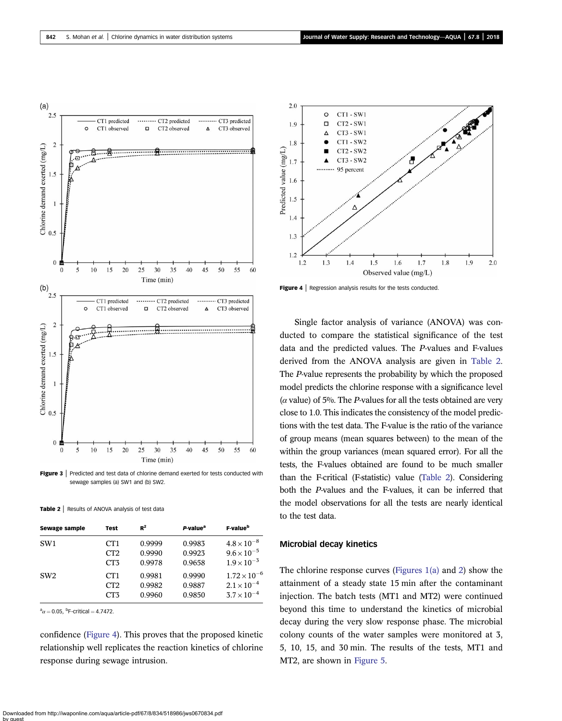

Figure 3 | Predicted and test data of chlorine demand exerted for tests conducted with sewage samples (a) SW1 and (b) SW2.

|  | Table 2   Results of ANOVA analysis of test data |  |  |  |  |  |
|--|--------------------------------------------------|--|--|--|--|--|
|--|--------------------------------------------------|--|--|--|--|--|

| <b>Sewage sample</b> | Test            | $R^2$  | P-value <sup>a</sup> | F-value <sup>b</sup>  |
|----------------------|-----------------|--------|----------------------|-----------------------|
| SW <sub>1</sub>      | CT <sub>1</sub> | 0.9999 | 0.9983               | $4.8 \times 10^{-8}$  |
|                      | CT2             | 0.9990 | 0.9923               | $9.6 \times 10^{-5}$  |
|                      | CT3             | 0.9978 | 0.9658               | $1.9 \times 10^{-3}$  |
| SW <sub>2</sub>      | CT <sub>1</sub> | 0.9981 | 0.9990               | $1.72 \times 10^{-6}$ |
|                      | CT2             | 0.9982 | 0.9887               | $2.1 \times 10^{-4}$  |
|                      | CT3             | 0.9960 | 0.9850               | $3.7 \times 10^{-4}$  |

 $a_{\alpha} = 0.05$ , <sup>b</sup>F-critical = 4.7472.

confidence (Figure 4). This proves that the proposed kinetic relationship well replicates the reaction kinetics of chlorine response during sewage intrusion.



Figure 4 | Regression analysis results for the tests conducted.

Single factor analysis of variance (ANOVA) was conducted to compare the statistical significance of the test data and the predicted values. The *P*-values and F-values derived from the ANOVA analysis are given in Table 2. The *P*-value represents the probability by which the proposed model predicts the chlorine response with a significance level  $(\alpha$  value) of 5%. The *P*-values for all the tests obtained are very close to 1.0. This indicates the consistency of the model predictions with the test data. The F-value is the ratio of the variance of group means (mean squares between) to the mean of the within the group variances (mean squared error). For all the tests, the F-values obtained are found to be much smaller than the F-critical (F-statistic) value (Table 2). Considering both the *P*-values and the F-values, it can be inferred that the model observations for all the tests are nearly identical to the test data.

#### Microbial decay kinetics

The chlorine response curves (Figures 1(a) and 2) show the attainment of a steady state 15 min after the contaminant injection. The batch tests (MT1 and MT2) were continued beyond this time to understand the kinetics of microbial decay during the very slow response phase. The microbial colony counts of the water samples were monitored at 3, 5, 10, 15, and 30 min. The results of the tests, MT1 and MT2, are shown in Figure 5.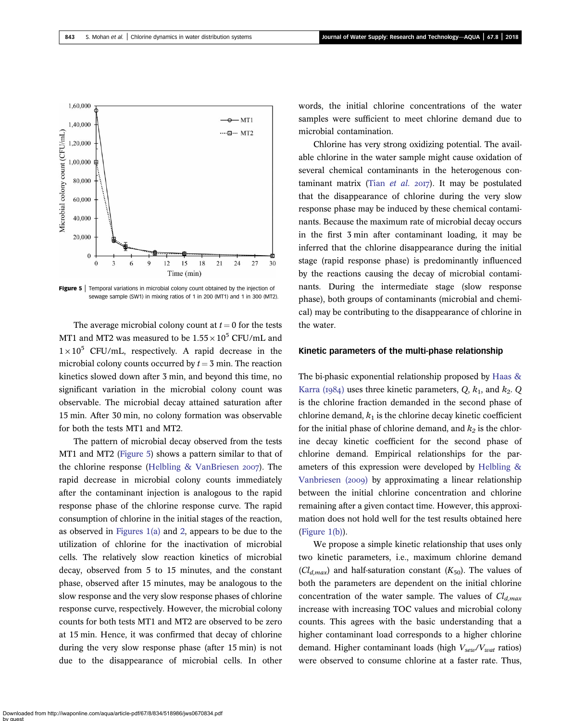

Figure 5 | Temporal variations in microbial colony count obtained by the injection of sewage sample (SW1) in mixing ratios of 1 in 200 (MT1) and 1 in 300 (MT2).

The average microbial colony count at  $t = 0$  for the tests MT1 and MT2 was measured to be  $1.55 \times 10^5$  CFU/mL and  $1 \times 10^5$  CFU/mL, respectively. A rapid decrease in the microbial colony counts occurred by  $t = 3$  min. The reaction kinetics slowed down after 3 min, and beyond this time, no significant variation in the microbial colony count was observable. The microbial decay attained saturation after 15 min. After 30 min, no colony formation was observable for both the tests MT1 and MT2.

The pattern of microbial decay observed from the tests MT1 and MT2 (Figure 5) shows a pattern similar to that of the chlorine response (Helbling  $&$  VanBriesen 2007). The rapid decrease in microbial colony counts immediately after the contaminant injection is analogous to the rapid response phase of the chlorine response curve. The rapid consumption of chlorine in the initial stages of the reaction, as observed in Figures 1(a) and 2, appears to be due to the utilization of chlorine for the inactivation of microbial cells. The relatively slow reaction kinetics of microbial decay, observed from 5 to 15 minutes, and the constant phase, observed after 15 minutes, may be analogous to the slow response and the very slow response phases of chlorine response curve, respectively. However, the microbial colony counts for both tests MT1 and MT2 are observed to be zero at 15 min. Hence, it was confirmed that decay of chlorine during the very slow response phase (after 15 min) is not due to the disappearance of microbial cells. In other words, the initial chlorine concentrations of the water samples were sufficient to meet chlorine demand due to microbial contamination.

Chlorine has very strong oxidizing potential. The available chlorine in the water sample might cause oxidation of several chemical contaminants in the heterogenous contaminant matrix (Tian et al. 2017). It may be postulated that the disappearance of chlorine during the very slow response phase may be induced by these chemical contaminants. Because the maximum rate of microbial decay occurs in the first 3 min after contaminant loading, it may be inferred that the chlorine disappearance during the initial stage (rapid response phase) is predominantly influenced by the reactions causing the decay of microbial contaminants. During the intermediate stage (slow response phase), both groups of contaminants (microbial and chemical) may be contributing to the disappearance of chlorine in the water.

#### Kinetic parameters of the multi-phase relationship

The bi-phasic exponential relationship proposed by Haas & Karra ( $1984$ ) uses three kinetic parameters, *Q*,  $k_1$ , and  $k_2$ . *Q* is the chlorine fraction demanded in the second phase of chlorine demand,  $k_1$  is the chlorine decay kinetic coefficient for the initial phase of chlorine demand, and  $k_2$  is the chlorine decay kinetic coefficient for the second phase of chlorine demand. Empirical relationships for the parameters of this expression were developed by Helbling & Vanbriesen (2009) by approximating a linear relationship between the initial chlorine concentration and chlorine remaining after a given contact time. However, this approximation does not hold well for the test results obtained here (Figure 1(b)).

We propose a simple kinetic relationship that uses only two kinetic parameters, i.e., maximum chlorine demand  $(Cl_{d,max})$  and half-saturation constant  $(K_{50})$ . The values of both the parameters are dependent on the initial chlorine concentration of the water sample. The values of *Cld,max* increase with increasing TOC values and microbial colony counts. This agrees with the basic understanding that a higher contaminant load corresponds to a higher chlorine demand. Higher contaminant loads (high *Vsew/Vwat* ratios) were observed to consume chlorine at a faster rate. Thus,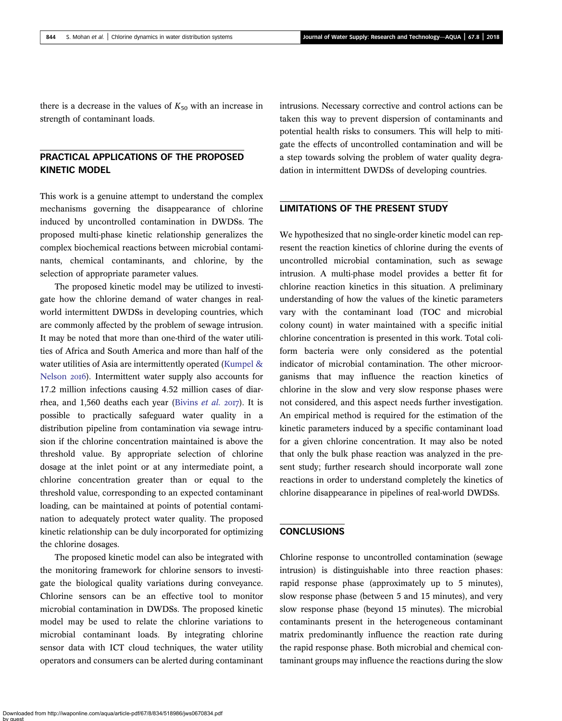there is a decrease in the values of  $K_{50}$  with an increase in strength of contaminant loads.

# PRACTICAL APPLICATIONS OF THE PROPOSED KINETIC MODEL

This work is a genuine attempt to understand the complex mechanisms governing the disappearance of chlorine induced by uncontrolled contamination in DWDSs. The proposed multi-phase kinetic relationship generalizes the complex biochemical reactions between microbial contaminants, chemical contaminants, and chlorine, by the selection of appropriate parameter values.

The proposed kinetic model may be utilized to investigate how the chlorine demand of water changes in realworld intermittent DWDSs in developing countries, which are commonly affected by the problem of sewage intrusion. It may be noted that more than one-third of the water utilities of Africa and South America and more than half of the water utilities of Asia are intermittently operated (Kumpel & Nelson 2016). Intermittent water supply also accounts for 17.2 million infections causing 4.52 million cases of diarrhea, and 1,560 deaths each year (Bivins *et al.* 2017). It is possible to practically safeguard water quality in a distribution pipeline from contamination via sewage intrusion if the chlorine concentration maintained is above the threshold value. By appropriate selection of chlorine dosage at the inlet point or at any intermediate point, a chlorine concentration greater than or equal to the threshold value, corresponding to an expected contaminant loading, can be maintained at points of potential contamination to adequately protect water quality. The proposed kinetic relationship can be duly incorporated for optimizing the chlorine dosages.

The proposed kinetic model can also be integrated with the monitoring framework for chlorine sensors to investigate the biological quality variations during conveyance. Chlorine sensors can be an effective tool to monitor microbial contamination in DWDSs. The proposed kinetic model may be used to relate the chlorine variations to microbial contaminant loads. By integrating chlorine sensor data with ICT cloud techniques, the water utility operators and consumers can be alerted during contaminant intrusions. Necessary corrective and control actions can be taken this way to prevent dispersion of contaminants and potential health risks to consumers. This will help to mitigate the effects of uncontrolled contamination and will be a step towards solving the problem of water quality degradation in intermittent DWDSs of developing countries.

# LIMITATIONS OF THE PRESENT STUDY

We hypothesized that no single-order kinetic model can represent the reaction kinetics of chlorine during the events of uncontrolled microbial contamination, such as sewage intrusion. A multi-phase model provides a better fit for chlorine reaction kinetics in this situation. A preliminary understanding of how the values of the kinetic parameters vary with the contaminant load (TOC and microbial colony count) in water maintained with a specific initial chlorine concentration is presented in this work. Total coliform bacteria were only considered as the potential indicator of microbial contamination. The other microorganisms that may influence the reaction kinetics of chlorine in the slow and very slow response phases were not considered, and this aspect needs further investigation. An empirical method is required for the estimation of the kinetic parameters induced by a specific contaminant load for a given chlorine concentration. It may also be noted that only the bulk phase reaction was analyzed in the present study; further research should incorporate wall zone reactions in order to understand completely the kinetics of chlorine disappearance in pipelines of real-world DWDSs.

## **CONCLUSIONS**

Chlorine response to uncontrolled contamination (sewage intrusion) is distinguishable into three reaction phases: rapid response phase (approximately up to 5 minutes), slow response phase (between 5 and 15 minutes), and very slow response phase (beyond 15 minutes). The microbial contaminants present in the heterogeneous contaminant matrix predominantly influence the reaction rate during the rapid response phase. Both microbial and chemical contaminant groups may influence the reactions during the slow